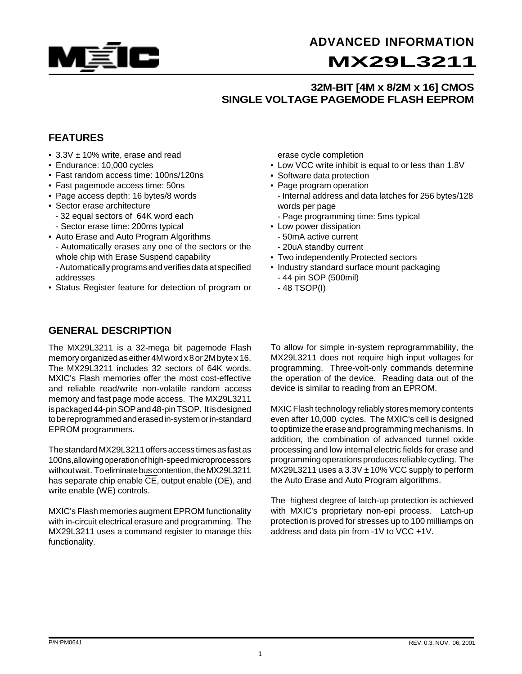

## **ADVANCED INFORMATION**

# **MX29L3211**

## **32M-BIT [4M x 8/2M x 16] CMOS SINGLE VOLTAGE PAGEMODE FLASH EEPROM**

## **FEATURES**

- $3.3V \pm 10\%$  write, erase and read
- Endurance: 10,000 cycles
- Fast random access time: 100ns/120ns
- Fast pagemode access time: 50ns
- Page access depth: 16 bytes/8 words
- Sector erase architecture
- 32 equal sectors of 64K word each - Sector erase time: 200ms typical
- Auto Erase and Auto Program Algorithms - Automatically erases any one of the sectors or the whole chip with Erase Suspend capability - Automatically programs and verifies data at specified addresses
- Status Register feature for detection of program or

### **GENERAL DESCRIPTION**

The MX29L3211 is a 32-mega bit pagemode Flash memory organized as either 4M word x 8 or 2M byte x 16. The MX29L3211 includes 32 sectors of 64K words. MXIC's Flash memories offer the most cost-effective and reliable read/write non-volatile random access memory and fast page mode access. The MX29L3211 is packaged 44-pin SOP and 48-pin TSOP. It is designed to be reprogrammed and erased in-system or in-standard EPROM programmers.

The standard MX29L3211 offers access times as fast as 100ns,allowing operation of high-speed microprocessors without wait. To eliminate bus contention, the MX29L3211 has separate chip enable CE, output enable (OE), and write enable  $(\overline{\text{WE}})$  controls.

MXIC's Flash memories augment EPROM functionality with in-circuit electrical erasure and programming. The MX29L3211 uses a command register to manage this functionality.

erase cycle completion

- Low VCC write inhibit is equal to or less than 1.8V
- Software data protection
- Page program operation
	- Internal address and data latches for 256 bytes/128 words per page
	- Page programming time: 5ms typical
- Low power dissipation
	- 50mA active current
	- 20uA standby current
- Two independently Protected sectors
- Industry standard surface mount packaging - 44 pin SOP (500mil)
	- 48 TSOP(I)

To allow for simple in-system reprogrammability, the MX29L3211 does not require high input voltages for programming. Three-volt-only commands determine the operation of the device. Reading data out of the device is similar to reading from an EPROM.

MXIC Flash technology reliably stores memory contents even after 10,000 cycles. The MXIC's cell is designed to optimize the erase and programming mechanisms. In addition, the combination of advanced tunnel oxide processing and low internal electric fields for erase and programming operations produces reliable cycling. The MX29L3211 uses a  $3.3V \pm 10\%$  VCC supply to perform the Auto Erase and Auto Program algorithms.

The highest degree of latch-up protection is achieved with MXIC's proprietary non-epi process. Latch-up protection is proved for stresses up to 100 milliamps on address and data pin from -1V to VCC +1V.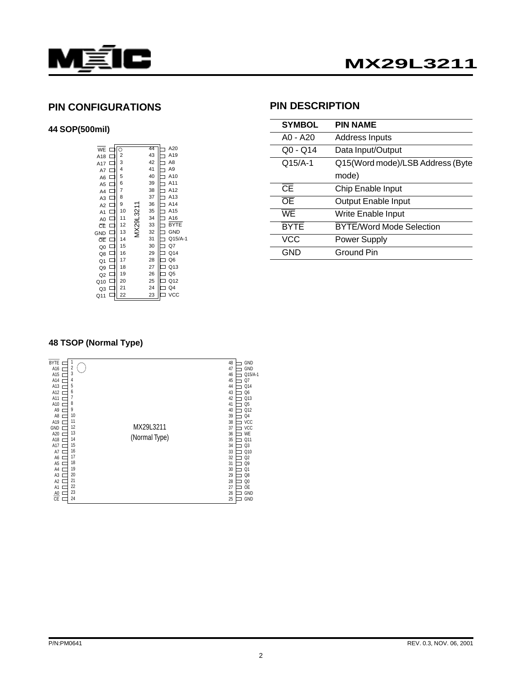

#### **PIN CONFIGURATIONS**

#### **44 SOP(500mil)**

| Ō                       | 44        | A20            |
|-------------------------|-----------|----------------|
| $\overline{\mathbf{c}}$ | 43        | A19            |
| 3                       | 42        | A8             |
| 4                       | 41        | A9             |
| 5                       | 40        | A10            |
| 6                       | 39        | A11            |
| 7                       | 38        | A12            |
| 8                       | 37        | A13            |
| 9                       | 36        | A14            |
| 10                      | 35        | A15            |
| 11                      | 34        | A16            |
| 12                      | 33        | <b>BYTE</b>    |
| 13                      | 32        | <b>GND</b>     |
| 14                      | 31        | Q15/A-1        |
| 15                      | 30        | Q7             |
| 16                      | 29        | Q14            |
| 17                      | 28        | Q <sub>6</sub> |
| 18                      | 27        | Q13            |
| 19                      | 26        | Q <sub>5</sub> |
| 20                      | 25        | Q12            |
| 21                      | 24        | Q4             |
| 22                      | 23        | vcc            |
|                         | MX29L3211 |                |

#### **PIN DESCRIPTION**

| <b>SYMBOL</b>                     | <b>PIN NAME</b>                  |
|-----------------------------------|----------------------------------|
| A0 - A20                          | <b>Address Inputs</b>            |
| $Q_0 - Q_14$                      | Data Input/Output                |
| $Q15/A-1$                         | Q15(Word mode)/LSB Address (Byte |
|                                   | mode)                            |
| $\overline{\overline{\text{CE}}}$ | Chip Enable Input                |
| $\overline{OE}$                   | <b>Output Enable Input</b>       |
| WF                                | Write Enable Input               |
| <b>BYTE</b>                       | <b>BYTE/Word Mode Selection</b>  |
| VCC                               | <b>Power Supply</b>              |
| GND                               | Ground Pin                       |

#### **48 TSOP (Normal Type)**

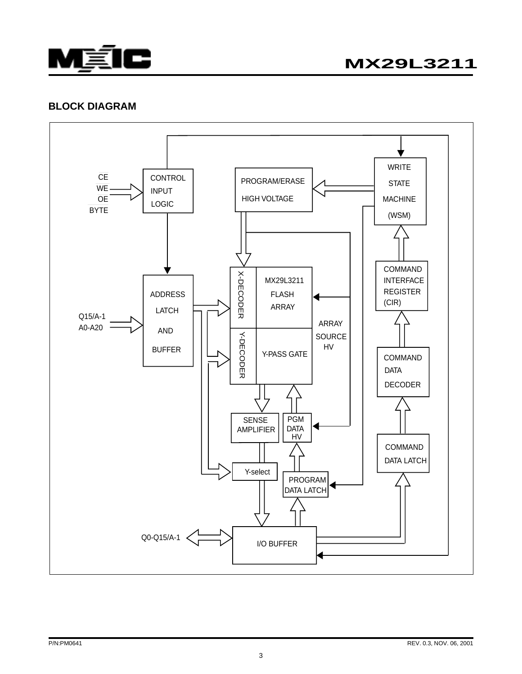

**MX29L3211**

#### **BLOCK DIAGRAM**

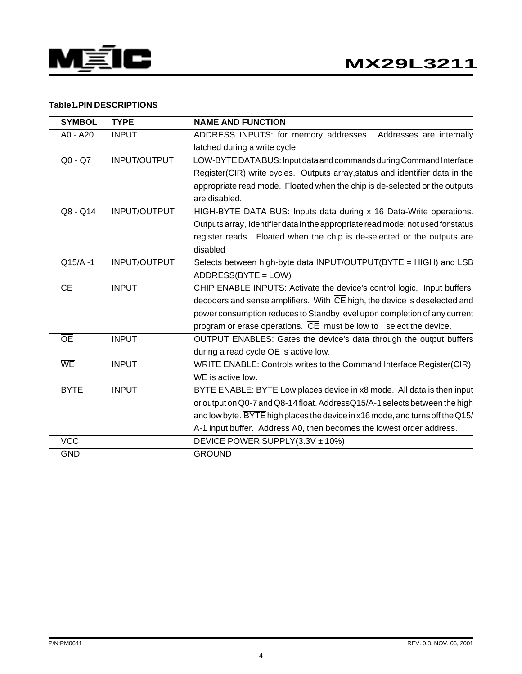

#### **Table1.PIN DESCRIPTIONS**

| <b>SYMBOL</b>          | <b>TYPE</b>         | <b>NAME AND FUNCTION</b>                                                         |
|------------------------|---------------------|----------------------------------------------------------------------------------|
| A0 - A20               | <b>INPUT</b>        | ADDRESS INPUTS: for memory addresses. Addresses are internally                   |
|                        |                     | latched during a write cycle.                                                    |
| $Q0 - Q7$              | INPUT/OUTPUT        | LOW-BYTE DATA BUS: Input data and commands during Command Interface              |
|                        |                     | Register(CIR) write cycles. Outputs array, status and identifier data in the     |
|                        |                     | appropriate read mode. Floated when the chip is de-selected or the outputs       |
|                        |                     | are disabled.                                                                    |
| Q8 - Q14               | <b>INPUT/OUTPUT</b> | HIGH-BYTE DATA BUS: Inputs data during x 16 Data-Write operations.               |
|                        |                     | Outputs array, identifier data in the appropriate read mode; not used for status |
|                        |                     | register reads. Floated when the chip is de-selected or the outputs are          |
|                        |                     | disabled                                                                         |
| $Q15/A - 1$            | INPUT/OUTPUT        | Selects between high-byte data INPUT/OUTPUT ( $\overline{BYTE}$ = HIGH) and LSB  |
|                        |                     | ADDRESS(BYTE = LOW)                                                              |
| $\overline{\text{CE}}$ | <b>INPUT</b>        | CHIP ENABLE INPUTS: Activate the device's control logic, Input buffers,          |
|                        |                     | decoders and sense amplifiers. With CE high, the device is deselected and        |
|                        |                     | power consumption reduces to Standby level upon completion of any current        |
|                        |                     | program or erase operations. CE must be low to select the device.                |
| <b>OE</b>              | <b>INPUT</b>        | OUTPUT ENABLES: Gates the device's data through the output buffers               |
|                        |                     | during a read cycle $\overline{OE}$ is active low.                               |
| WE                     | <b>INPUT</b>        | WRITE ENABLE: Controls writes to the Command Interface Register(CIR).            |
|                        |                     | WE is active low.                                                                |
| <b>BYTE</b>            | <b>INPUT</b>        | BYTE ENABLE: BYTE Low places device in x8 mode. All data is then input           |
|                        |                     | or output on Q0-7 and Q8-14 float. AddressQ15/A-1 selects between the high       |
|                        |                     | and low byte. BYTE high places the device in x16 mode, and turns off the Q15/    |
|                        |                     | A-1 input buffer. Address A0, then becomes the lowest order address.             |
| <b>VCC</b>             |                     | DEVICE POWER SUPPLY(3.3V ± 10%)                                                  |
| <b>GND</b>             |                     | <b>GROUND</b>                                                                    |
|                        |                     |                                                                                  |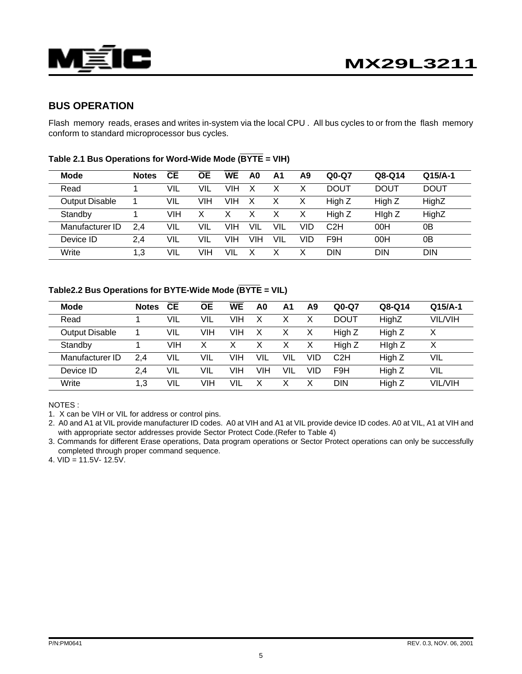

#### **BUS OPERATION**

Flash memory reads, erases and writes in-system via the local CPU . All bus cycles to or from the flash memory conform to standard microprocessor bus cycles.

| <b>Mode</b>           | <b>Notes</b> | <b>CE</b> | <b>OE</b> | <b>WE</b> | A0  | Α1         | A9  | $Q0-Q7$          | Q8-Q14      | $Q15/A-1$   |
|-----------------------|--------------|-----------|-----------|-----------|-----|------------|-----|------------------|-------------|-------------|
| Read                  |              | VIL       | VIL       | VIH       | X   | Х          |     | <b>DOUT</b>      | <b>DOUT</b> | <b>DOUT</b> |
| <b>Output Disable</b> |              | VIL       | VIH       | VIH       | Х   | х          |     | High Z           | High Z      | HighZ       |
| Standby               |              | VIH       | X         | x         | X   | х          |     | High Z           | High Z      | HighZ       |
| Manufacturer ID       | 2.4          | VIL       | VIL       | VIH       | VIL | VIL        | VID | C <sub>2</sub> H | 00H         | 0Β          |
| Device ID             | 2.4          | VIL       | VIL       | VIH       | VIH | <b>VIL</b> | VID | F <sub>9</sub> H | 00H         | 0Β          |
| Write                 | 1,3          | VIL       | VIH       | VIL       | х   | Х          |     | DIN              | <b>DIN</b>  | <b>DIN</b>  |

#### **Table 2.1 Bus Operations for Word-Wide Mode (BYTE = VIH)**

#### **Table2.2 Bus Operations for BYTE-Wide Mode (BYTE = VIL)**

| <b>Mode</b>           | <b>Notes</b> | <b>CE</b> | <b>OE</b> | <b>WE</b> | A0  | Α1  | A9  | $Q0-Q7$     | Q8-Q14 | $Q15/A-1$      |
|-----------------------|--------------|-----------|-----------|-----------|-----|-----|-----|-------------|--------|----------------|
| Read                  |              | VIL       | VIL       | VIH       |     |     | х   | <b>DOUT</b> | HighZ  | <b>VIL/VIH</b> |
| <b>Output Disable</b> |              | VIL       | VIH       | VIH       | X   |     | х   | High Z      | High Z | Χ              |
| Standby               |              | VIH       | Х         | X         | х   | х   | Х   | High Z      | High Z | X              |
| Manufacturer ID       | 2.4          | VIL       | VIL       | VIH       | VIL | VIL | VID | C2H         | High Z | VIL            |
| Device ID             | 2.4          | VIL       | VIL       | VIH       | VIH | VIL | VID | F9H         | High Z | VIL            |
| Write                 | 1.3          | VIL       | VIH       | VIL       |     |     | Χ   | <b>DIN</b>  | High Z | <b>VIL/VIH</b> |

NOTES :

1. X can be VIH or VIL for address or control pins.

2. A0 and A1 at VIL provide manufacturer ID codes. A0 at VIH and A1 at VIL provide device ID codes. A0 at VIL, A1 at VIH and with appropriate sector addresses provide Sector Protect Code.(Refer to Table 4)

3. Commands for different Erase operations, Data program operations or Sector Protect operations can only be successfully completed through proper command sequence.

4. VID = 11.5V- 12.5V.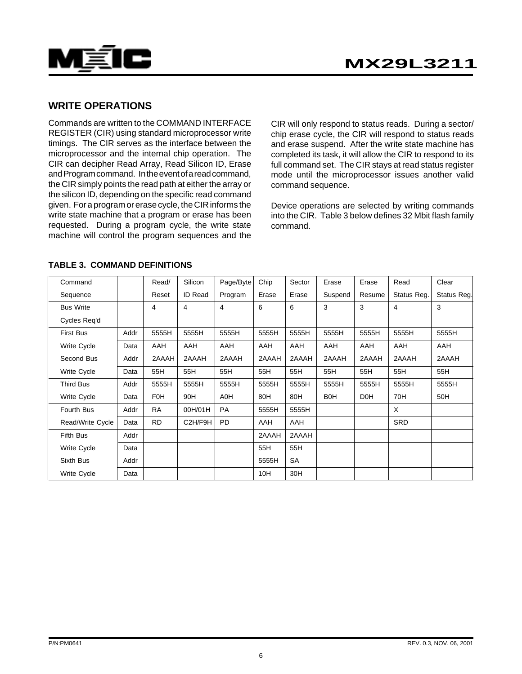

#### **WRITE OPERATIONS**

Commands are written to the COMMAND INTERFACE REGISTER (CIR) using standard microprocessor write timings. The CIR serves as the interface between the microprocessor and the internal chip operation. The CIR can decipher Read Array, Read Silicon ID, Erase and Program command. In the event of a read command, the CIR simply points the read path at either the array or the silicon ID, depending on the specific read command given. For a program or erase cycle, the CIR informs the write state machine that a program or erase has been requested. During a program cycle, the write state machine will control the program sequences and the

CIR will only respond to status reads. During a sector/ chip erase cycle, the CIR will respond to status reads and erase suspend. After the write state machine has completed its task, it will allow the CIR to respond to its full command set. The CIR stays at read status register mode until the microprocessor issues another valid command sequence.

Device operations are selected by writing commands into the CIR. Table 3 below defines 32 Mbit flash family command.

| Command            |      | Read/      | Silicon        | Page/Byte | Chip  | Sector | Erase            | Erase            | Read        | Clear       |
|--------------------|------|------------|----------------|-----------|-------|--------|------------------|------------------|-------------|-------------|
| Sequence           |      | Reset      | <b>ID Read</b> | Program   | Erase | Erase  | Suspend          | Resume           | Status Reg. | Status Reg. |
| <b>Bus Write</b>   |      | 4          | 4              | 4         | 6     | 6      | 3                | 3                | 4           | 3           |
| Cycles Req'd       |      |            |                |           |       |        |                  |                  |             |             |
| <b>First Bus</b>   | Addr | 5555H      | 5555H          | 5555H     | 5555H | 5555H  | 5555H            | 5555H            | 5555H       | 5555H       |
| Write Cycle        | Data | AAH        | AAH            | AAH       | AAH   | AAH    | <b>AAH</b>       | AAH              | AAH         | AAH         |
| Second Bus         | Addr | 2AAAH      | 2AAAH          | 2AAAH     | 2AAAH | 2AAAH  | 2AAAH            | 2AAAH            | 2AAAH       | 2AAAH       |
| Write Cycle        | Data | 55H        | 55H            | 55H       | 55H   | 55H    | 55H              | 55H              | 55H         | 55H         |
| <b>Third Bus</b>   | Addr | 5555H      | 5555H          | 5555H     | 5555H | 5555H  | 5555H            | 5555H            | 5555H       | 5555H       |
| Write Cycle        | Data | <b>F0H</b> | 90H            | A0H       | 80H   | 80H    | B <sub>0</sub> H | D <sub>0</sub> H | 70H         | 50H         |
| Fourth Bus         | Addr | <b>RA</b>  | 00H/01H        | <b>PA</b> | 5555H | 5555H  |                  |                  | $\times$    |             |
| Read/Write Cycle   | Data | <b>RD</b>  | C2H/F9H        | <b>PD</b> | AAH   | AAH    |                  |                  | <b>SRD</b>  |             |
| <b>Fifth Bus</b>   | Addr |            |                |           | 2AAAH | 2AAAH  |                  |                  |             |             |
| <b>Write Cycle</b> | Data |            |                |           | 55H   | 55H    |                  |                  |             |             |
| Sixth Bus          | Addr |            |                |           | 5555H | SA     |                  |                  |             |             |
| Write Cycle        | Data |            |                |           | 10H   | 30H    |                  |                  |             |             |

#### **TABLE 3. COMMAND DEFINITIONS**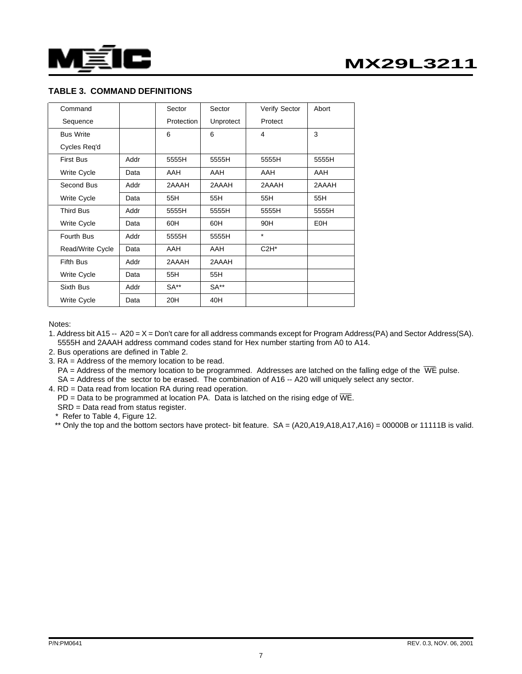

#### **TABLE 3. COMMAND DEFINITIONS**

| Command          |      | Sector     | Sector    | <b>Verify Sector</b> | Abort      |
|------------------|------|------------|-----------|----------------------|------------|
| Sequence         |      | Protection | Unprotect | Protect              |            |
| <b>Bus Write</b> |      | 6          | 6         | 4                    | 3          |
| Cycles Req'd     |      |            |           |                      |            |
| <b>First Bus</b> | Addr | 5555H      | 5555H     | 5555H                | 5555H      |
| Write Cycle      | Data | <b>AAH</b> | AAH       | AAH                  | AAH        |
| Second Bus       | Addr | 2AAAH      | 2AAAH     | 2AAAH                | 2AAAH      |
| Write Cycle      | Data | 55H        | 55H       | 55H                  | 55H        |
| <b>Third Bus</b> | Addr | 5555H      | 5555H     | 5555H                | 5555H      |
| Write Cycle      | Data | 60H        | 60H       | 90H                  | <b>E0H</b> |
| Fourth Bus       | Addr | 5555H      | 5555H     | $\star$              |            |
| Read/Write Cycle | Data | AAH        | AAH       | $C2H^*$              |            |
| <b>Fifth Bus</b> | Addr | 2AAAH      | 2AAAH     |                      |            |
| Write Cycle      | Data | 55H        | 55H       |                      |            |
| Sixth Bus        | Addr | $SA**$     | $SA**$    |                      |            |
| Write Cycle      | Data | 20H        | 40H       |                      |            |

Notes:

- 1. Address bit A15 -- A20 = X = Don't care for all address commands except for Program Address(PA) and Sector Address(SA). 5555H and 2AAAH address command codes stand for Hex number starting from A0 to A14.
- 2. Bus operations are defined in Table 2.
- 3. RA = Address of the memory location to be read.
	- $PA =$  Address of the memory location to be programmed. Addresses are latched on the falling edge of the  $\overline{WE}$  pulse. SA = Address of the sector to be erased. The combination of A16 -- A20 will uniquely select any sector.
- 4. RD = Data read from location RA during read operation.
	- PD = Data to be programmed at location PA. Data is latched on the rising edge of  $\overline{\text{WE}}$ .
	- SRD = Data read from status register.
	- \* Refer to Table 4, Figure 12.
	- \*\* Only the top and the bottom sectors have protect- bit feature. SA = (A20,A19,A18,A17,A16) = 00000B or 11111B is valid.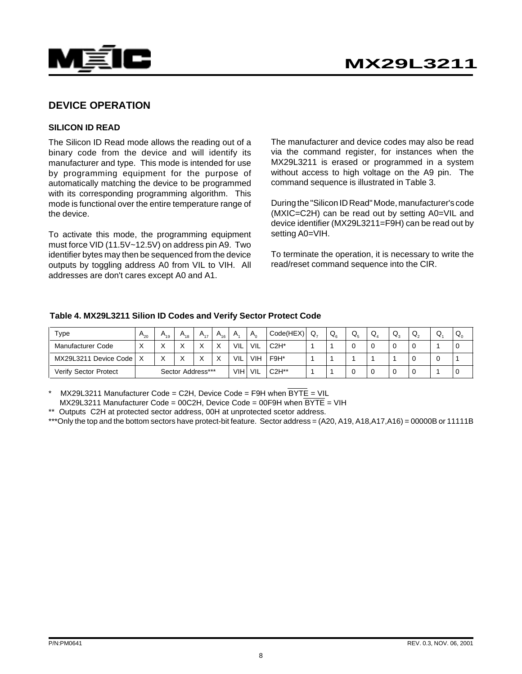

#### **DEVICE OPERATION**

#### **SILICON ID READ**

The Silicon ID Read mode allows the reading out of a binary code from the device and will identify its manufacturer and type. This mode is intended for use by programming equipment for the purpose of automatically matching the device to be programmed with its corresponding programming algorithm. This mode is functional over the entire temperature range of the device.

To activate this mode, the programming equipment must force VID (11.5V~12.5V) on address pin A9. Two identifier bytes may then be sequenced from the device outputs by toggling address A0 from VIL to VIH. All addresses are don't cares except A0 and A1.

The manufacturer and device codes may also be read via the command register, for instances when the MX29L3211 is erased or programmed in a system without access to high voltage on the A9 pin. The command sequence is illustrated in Table 3.

During the "Silicon ID Read" Mode, manufacturer's code (MXIC=C2H) can be read out by setting A0=VIL and device identifier (MX29L3211=F9H) can be read out by setting A0=VIH.

To terminate the operation, it is necessary to write the read/reset command sequence into the CIR.

|                       |          |              | .                 |              |          |     | - - - - -    |           |     |         |                   |    |    |                |    |              |
|-----------------------|----------|--------------|-------------------|--------------|----------|-----|--------------|-----------|-----|---------|-------------------|----|----|----------------|----|--------------|
| Type                  | $A_{20}$ | $A_{19}$     | $A_{18}$          | $A_{17}$     | $A_{16}$ | A.  | $A_{\alpha}$ | Code(HEX) | Q., | $Q_{6}$ | $Q_{\varepsilon}$ | Q, | Q, | $^{\prime}$ Q. | Q  | $Q_{\alpha}$ |
| Manufacturer Code     | X        | $\checkmark$ |                   | $\checkmark$ | X        | VIL | VIL          | $C2H^*$   |     |         |                   |    |    | $\Omega$       |    | 0            |
| MX29L3211 Device Code |          | X            |                   |              | X        | VIL | <b>VIH</b>   | F9H*      |     |         |                   |    |    | $\Omega$       | -0 |              |
| Verify Sector Protect |          |              | Sector Address*** |              |          | VIH | VIL          | $C2H**$   |     |         |                   |    |    | 0              |    | 0            |

#### **Table 4. MX29L3211 Silion ID Codes and Verify Sector Protect Code**

 $MX29L3211$  Manufacturer Code = C2H, Device Code = F9H when BYTE = VIL

MX29L3211 Manufacturer Code = 00C2H, Device Code = 00F9H when BYTE = VIH

\*\* Outputs C2H at protected sector address, 00H at unprotected scetor address.

\*\*\*Only the top and the bottom sectors have protect-bit feature. Sector address = (A20, A19, A18, A17, A16) = 00000B or 11111B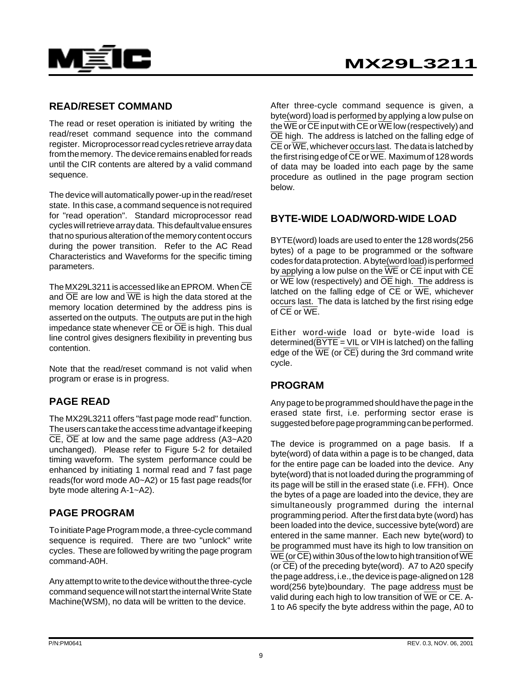

#### **READ/RESET COMMAND**

The read or reset operation is initiated by writing the read/reset command sequence into the command register. Microprocessor read cycles retrieve array data from the memory. The device remains enabled for reads until the CIR contents are altered by a valid command sequence.

The device will automatically power-up in the read/reset state. In this case, a command sequence is not required for "read operation". Standard microprocessor read cycles will retrieve array data. This default value ensures that no spurious alteration of the memory content occurs during the power transition. Refer to the AC Read Characteristics and Waveforms for the specific timing parameters.

The MX29L3211 is accessed like an EPROM. When  $\overline{\text{CE}}$ and  $\overline{OE}$  are low and  $\overline{WE}$  is high the data stored at the memory location determined by the address pins is asserted on the outputs. The outputs are put in the high impedance state whenever  $\overline{\text{CE}}$  or  $\overline{\text{OE}}$  is high. This dual line control gives designers flexibility in preventing bus contention.

Note that the read/reset command is not valid when program or erase is in progress.

## **PAGE READ**

The MX29L3211 offers "fast page mode read" function. The users can take the access time advantage if keeping  $\overline{CE}$ ,  $\overline{OE}$  at low and the same page address (A3~A20 unchanged). Please refer to Figure 5-2 for detailed timing waveform. The system performance could be enhanced by initiating 1 normal read and 7 fast page reads(for word mode A0~A2) or 15 fast page reads(for byte mode altering A-1~A2).

#### **PAGE PROGRAM**

To initiate Page Program mode, a three-cycle command sequence is required. There are two "unlock" write cycles. These are followed by writing the page program command-A0H.

Any attempt to write to the device without the three-cycle command sequence will not start the internal Write State Machine(WSM), no data will be written to the device.

After three-cycle command sequence is given, a byte(word) load is performed by applying a low pulse on the  $\overline{\text{WE}}$  or  $\overline{\text{CE}}$  input with  $\overline{\text{CE}}$  or  $\overline{\text{WE}}$  low (respectively) and OE high. The address is latched on the falling edge of  $\overline{\text{CE}}$  or  $\overline{\text{WE}}$ , whichever occurs last. The data is latched by the first rising edge of  $\overline{\text{CE}}$  or  $\overline{\text{WE}}$ . Maximum of 128 words of data may be loaded into each page by the same procedure as outlined in the page program section below.

### **BYTE-WIDE LOAD/WORD-WIDE LOAD**

BYTE(word) loads are used to enter the 128 words(256 bytes) of a page to be programmed or the software codes for data protection. A byte(word load) is performed by applying a low pulse on the  $\overline{WE}$  or  $\overline{CE}$  input with  $\overline{CE}$ or  $\overline{\text{WE}}$  low (respectively) and  $\overline{\text{OE}}$  high. The address is latched on the falling edge of  $\overline{CE}$  or  $\overline{WE}$ , whichever occurs last. The data is latched by the first rising edge of  $CF$  or  $WF$ .

Either word-wide load or byte-wide load is determined( $\overline{BYTE}$  = VIL or VIH is latched) on the falling edge of the  $\overline{\text{WE}}$  (or  $\overline{\text{CE}}$ ) during the 3rd command write cycle.

#### **PROGRAM**

Any page to be programmed should have the page in the erased state first, i.e. performing sector erase is suggested before page programming can be performed.

The device is programmed on a page basis. If a byte(word) of data within a page is to be changed, data for the entire page can be loaded into the device. Any byte(word) that is not loaded during the programming of its page will be still in the erased state (i.e. FFH). Once the bytes of a page are loaded into the device, they are simultaneously programmed during the internal programming period. After the first data byte (word) has been loaded into the device, successive byte(word) are entered in the same manner. Each new byte(word) to be programmed must have its high to low transition on  $\overline{\text{WE}}$  (or  $\overline{\text{CE}}$ ) within 30us of the low to high transition of  $\overline{\text{WE}}$ (or  $\overline{CE}$ ) of the preceding byte(word). A7 to A20 specify the page address, i.e., the device is page-aligned on 128 word(256 byte)boundary. The page address must be valid during each high to low transition of  $\overline{WE}$  or  $\overline{CE}$ . A-1 to A6 specify the byte address within the page, A0 to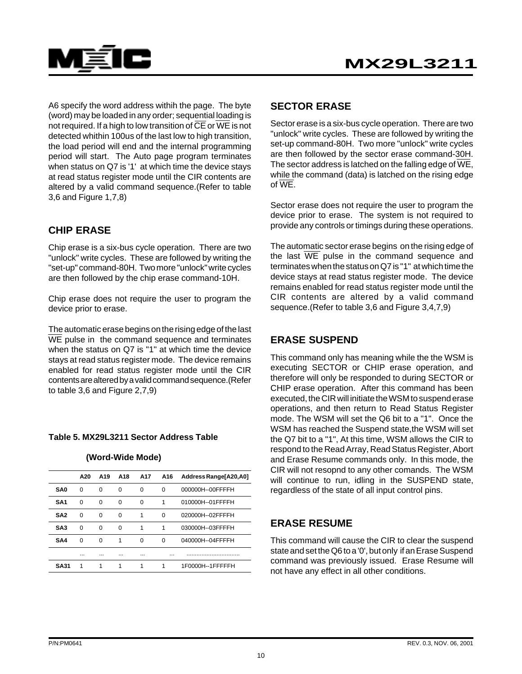

A6 specify the word address withih the page. The byte (word) may be loaded in any order; sequential loading is not required. If a high to low transition of  $\overline{\text{CE}}$  or  $\overline{\text{WE}}$  is not detected whithin 100us of the last low to high transition, the load period will end and the internal programming period will start. The Auto page program terminates when status on Q7 is '1' at which time the device stays at read status register mode until the CIR contents are altered by a valid command sequence.(Refer to table 3,6 and Figure 1,7,8)

## **CHIP ERASE**

Chip erase is a six-bus cycle operation. There are two "unlock" write cycles. These are followed by writing the "set-up" command-80H. Two more "unlock" write cycles are then followed by the chip erase command-10H.

Chip erase does not require the user to program the device prior to erase.

The automatic erase begins on the rising edge of the last WE pulse in the command sequence and terminates when the status on Q7 is "1" at which time the device stays at read status register mode. The device remains enabled for read status register mode until the CIR contents are altered by a valid command sequence.(Refer to table 3,6 and Figure 2,7,9)

#### **Table 5. MX29L3211 Sector Address Table**

#### **(Word-Wide Mode)**

|                 | A20      | A <sub>19</sub> | A18      | A17      | A16      | Address Range[A20,A0] |
|-----------------|----------|-----------------|----------|----------|----------|-----------------------|
| <b>SA0</b>      | $\Omega$ | $\Omega$        | $\Omega$ | $\Omega$ | $\Omega$ | 000000H--00FFFFH      |
| SA <sub>1</sub> | $\Omega$ | $\Omega$        | $\Omega$ | $\Omega$ | 1        | 010000H--01FFFFH      |
| SA <sub>2</sub> | $\Omega$ | $\Omega$        | $\Omega$ | 1        | $\Omega$ | 020000H--02FFFFH      |
| SA <sub>3</sub> | $\Omega$ | $\Omega$        | $\Omega$ | 1        | 1        | 030000H--03FFFFH      |
| SA4             | $\Omega$ | $\Omega$        | 1        | $\Omega$ | $\Omega$ | 040000H--04FFFFH      |
|                 |          |                 |          |          |          |                       |
| <b>SA31</b>     | 1        | 1               | 1        | 1        | 1        | 1F0000H--1FFFFFH      |

#### **SECTOR ERASE**

Sector erase is a six-bus cycle operation. There are two "unlock" write cycles. These are followed by writing the set-up command-80H. Two more "unlock" write cycles are then followed by the sector erase command-30H. The sector address is latched on the falling edge of  $\overline{\text{WE}}$ , while the command (data) is latched on the rising edge of WE.

Sector erase does not require the user to program the device prior to erase. The system is not required to provide any controls or timings during these operations.

The automatic sector erase begins on the rising edge of the last  $\overline{WE}$  pulse in the command sequence and terminates when the status on Q7 is "1" at which time the device stays at read status register mode. The device remains enabled for read status register mode until the CIR contents are altered by a valid command sequence.(Refer to table 3,6 and Figure 3,4,7,9)

## **ERASE SUSPEND**

This command only has meaning while the the WSM is executing SECTOR or CHIP erase operation, and therefore will only be responded to during SECTOR or CHIP erase operation. After this command has been executed, the CIR will initiate the WSM to suspend erase operations, and then return to Read Status Register mode. The WSM will set the Q6 bit to a "1". Once the WSM has reached the Suspend state,the WSM will set the Q7 bit to a "1", At this time, WSM allows the CIR to respond to the Read Array, Read Status Register, Abort and Erase Resume commands only. In this mode, the CIR will not resopnd to any other comands. The WSM will continue to run, idling in the SUSPEND state, regardless of the state of all input control pins.

#### **ERASE RESUME**

This command will cause the CIR to clear the suspend state and set the Q6 to a '0', but only if an Erase Suspend command was previously issued. Erase Resume will not have any effect in all other conditions.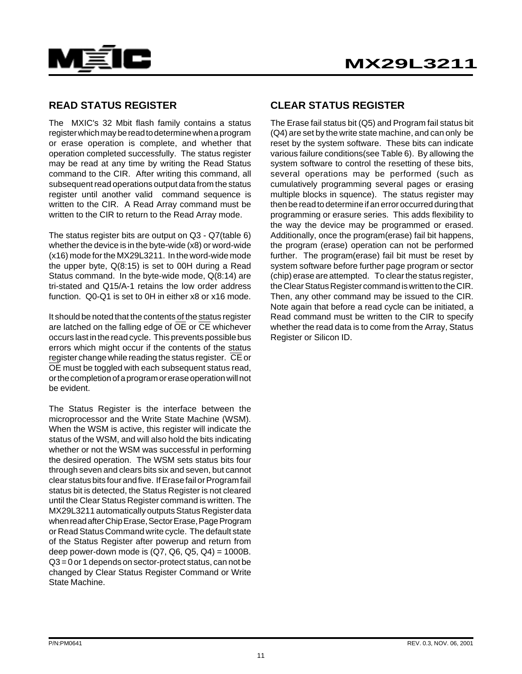



#### **READ STATUS REGISTER**

The MXIC's 32 Mbit flash family contains a status register which may be read to determine when a program or erase operation is complete, and whether that operation completed successfully. The status register may be read at any time by writing the Read Status command to the CIR. After writing this command, all subsequent read operations output data from the status register until another valid command sequence is written to the CIR. A Read Array command must be written to the CIR to return to the Read Array mode.

The status register bits are output on Q3 - Q7(table 6) whether the device is in the byte-wide (x8) or word-wide (x16) mode for the MX29L3211. In the word-wide mode the upper byte, Q(8:15) is set to 00H during a Read Status command. In the byte-wide mode, Q(8:14) are tri-stated and Q15/A-1 retains the low order address function. Q0-Q1 is set to 0H in either x8 or x16 mode.

It should be noted that the contents of the status register are latched on the falling edge of  $\overline{OE}$  or  $\overline{CE}$  whichever occurs last in the read cycle. This prevents possible bus errors which might occur if the contents of the status register change while reading the status register.  $\overline{\text{CE}}$  or OE must be toggled with each subsequent status read, or the completion of a program or erase operation will not be evident.

The Status Register is the interface between the microprocessor and the Write State Machine (WSM). When the WSM is active, this register will indicate the status of the WSM, and will also hold the bits indicating whether or not the WSM was successful in performing the desired operation. The WSM sets status bits four through seven and clears bits six and seven, but cannot clear status bits four and five. If Erase fail or Program fail status bit is detected, the Status Register is not cleared until the Clear Status Register command is written. The MX29L3211 automatically outputs Status Register data when read after Chip Erase, Sector Erase, Page Program or Read Status Command write cycle. The default state of the Status Register after powerup and return from deep power-down mode is  $(Q7, Q6, Q5, Q4) = 1000B$ . Q3 = 0 or 1 depends on sector-protect status, can not be changed by Clear Status Register Command or Write State Machine.

#### **CLEAR STATUS REGISTER**

The Erase fail status bit (Q5) and Program fail status bit (Q4) are set by the write state machine, and can only be reset by the system software. These bits can indicate various failure conditions(see Table 6). By allowing the system software to control the resetting of these bits, several operations may be performed (such as cumulatively programming several pages or erasing multiple blocks in squence). The status register may then be read to determine if an error occurred during that programming or erasure series. This adds flexibility to the way the device may be programmed or erased. Additionally, once the program(erase) fail bit happens, the program (erase) operation can not be performed further. The program(erase) fail bit must be reset by system software before further page program or sector (chip) erase are attempted. To clear the status register, the Clear Status Register command is written to the CIR. Then, any other command may be issued to the CIR. Note again that before a read cycle can be initiated, a Read command must be written to the CIR to specify whether the read data is to come from the Array, Status Register or Silicon ID.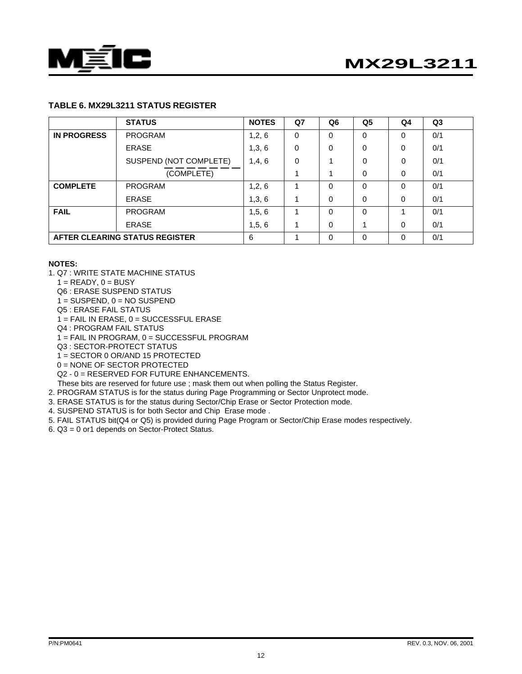

# **MX29L3211**

#### **TABLE 6. MX29L3211 STATUS REGISTER**

|                    | <b>STATUS</b>                  | <b>NOTES</b> | Q7 | Q6       | Q <sub>5</sub> | Q4       | Q <sub>3</sub> |
|--------------------|--------------------------------|--------------|----|----------|----------------|----------|----------------|
| <b>IN PROGRESS</b> | <b>PROGRAM</b>                 | 1,2,6        | 0  | 0        | 0              | 0        | 0/1            |
|                    | <b>ERASE</b>                   | 1,3,6        | 0  | 0        | 0              | 0        | 0/1            |
|                    | SUSPEND (NOT COMPLETE)         | 1,4,6        | 0  |          | 0              | $\Omega$ | 0/1            |
|                    | (COMPLETE)                     |              |    |          | 0              | 0        | 0/1            |
| <b>COMPLETE</b>    | <b>PROGRAM</b>                 | 1,2,6        |    | 0        | $\mathbf{0}$   | $\Omega$ | 0/1            |
|                    | <b>ERASE</b>                   | 1,3,6        |    | 0        | 0              | 0        | 0/1            |
| <b>FAIL</b>        | <b>PROGRAM</b>                 | 1,5,6        | 4  | $\Omega$ | $\Omega$       |          | 0/1            |
|                    | <b>ERASE</b>                   | 1, 5, 6      | 4  | 0        |                | 0        | 0/1            |
|                    | AFTER CLEARING STATUS REGISTER | 6            |    | 0        | 0              | $\Omega$ | 0/1            |

#### **NOTES:**

- 1. Q7 : WRITE STATE MACHINE STATUS
	- $1 = READV$ ,  $0 = BUSY$
	- Q6 : ERASE SUSPEND STATUS
	- $1 =$  SUSPEND,  $0 =$  NO SUSPEND
	- Q5 : ERASE FAIL STATUS
	- 1 = FAIL IN ERASE, 0 = SUCCESSFUL ERASE
	- Q4 : PROGRAM FAIL STATUS
	- 1 = FAIL IN PROGRAM, 0 = SUCCESSFUL PROGRAM
	- Q3 : SECTOR-PROTECT STATUS
	- 1 = SECTOR 0 OR/AND 15 PROTECTED
	- 0 = NONE OF SECTOR PROTECTED
	- Q2 0 = RESERVED FOR FUTURE ENHANCEMENTS.
	- These bits are reserved for future use ; mask them out when polling the Status Register.
- 2. PROGRAM STATUS is for the status during Page Programming or Sector Unprotect mode.
- 3. ERASE STATUS is for the status during Sector/Chip Erase or Sector Protection mode.
- 4. SUSPEND STATUS is for both Sector and Chip Erase mode .
- 5. FAIL STATUS bit(Q4 or Q5) is provided during Page Program or Sector/Chip Erase modes respectively.
- 6. Q3 = 0 or1 depends on Sector-Protect Status.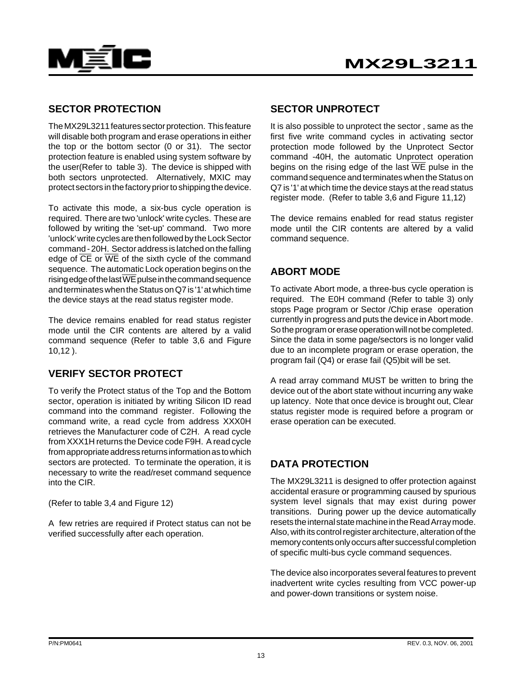

#### **SECTOR PROTECTION**

The MX29L3211 features sector protection. This feature will disable both program and erase operations in either the top or the bottom sector (0 or 31). The sector protection feature is enabled using system software by the user(Refer to table 3). The device is shipped with both sectors unprotected. Alternatively, MXIC may protect sectors in the factory prior to shipping the device.

To activate this mode, a six-bus cycle operation is required. There are two 'unlock' write cycles. These are followed by writing the 'set-up' command. Two more 'unlock' write cycles are then followed by the Lock Sector command - 20H. Sector address is latched on the falling edge of  $\overline{CE}$  or  $\overline{WE}$  of the sixth cycle of the command sequence. The automatic Lock operation begins on the rising edge of the last  $\overline{\text{WE}}$  pulse in the command sequence and terminates when the Status on Q7 is '1' at which time the device stays at the read status register mode.

The device remains enabled for read status register mode until the CIR contents are altered by a valid command sequence (Refer to table 3,6 and Figure 10,12 ).

## **VERIFY SECTOR PROTECT**

To verify the Protect status of the Top and the Bottom sector, operation is initiated by writing Silicon ID read command into the command register. Following the command write, a read cycle from address XXX0H retrieves the Manufacturer code of C2H. A read cycle from XXX1H returns the Device code F9H. A read cycle from appropriate address returns information as to which sectors are protected. To terminate the operation, it is necessary to write the read/reset command sequence into the CIR.

(Refer to table 3,4 and Figure 12)

A few retries are required if Protect status can not be verified successfully after each operation.

#### **SECTOR UNPROTECT**

It is also possible to unprotect the sector , same as the first five write command cycles in activating sector protection mode followed by the Unprotect Sector command -40H, the automatic Unprotect operation begins on the rising edge of the last  $\overline{WE}$  pulse in the command sequence and terminates when the Status on Q7 is '1' at which time the device stays at the read status register mode. (Refer to table 3,6 and Figure 11,12)

The device remains enabled for read status register mode until the CIR contents are altered by a valid command sequence.

## **ABORT MODE**

To activate Abort mode, a three-bus cycle operation is required. The E0H command (Refer to table 3) only stops Page program or Sector /Chip erase operation currently in progress and puts the device in Abort mode. So the program or erase operation will not be completed. Since the data in some page/sectors is no longer valid due to an incomplete program or erase operation, the program fail (Q4) or erase fail (Q5)bit will be set.

A read array command MUST be written to bring the device out of the abort state without incurring any wake up latency. Note that once device is brought out, Clear status register mode is required before a program or erase operation can be executed.

## **DATA PROTECTION**

The MX29L3211 is designed to offer protection against accidental erasure or programming caused by spurious system level signals that may exist during power transitions. During power up the device automatically resets the internal state machine in the Read Array mode. Also, with its control register architecture, alteration of the memory contents only occurs after successful completion of specific multi-bus cycle command sequences.

The device also incorporates several features to prevent inadvertent write cycles resulting from VCC power-up and power-down transitions or system noise.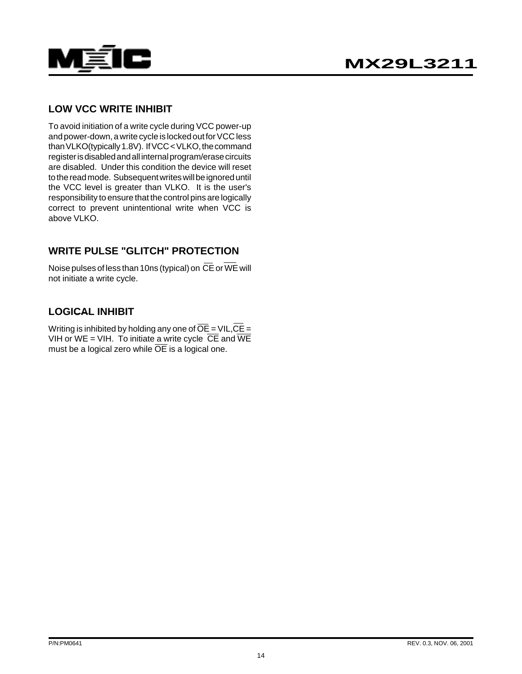

### **LOW VCC WRITE INHIBIT**

To avoid initiation of a write cycle during VCC power-up and power-down, a write cycle is locked out for VCC less than VLKO(typically 1.8V). If VCC < VLKO, the command register is disabled and all internal program/erase circuits are disabled. Under this condition the device will reset to the read mode. Subsequent writes will be ignored until the VCC level is greater than VLKO. It is the user's responsibility to ensure that the control pins are logically correct to prevent unintentional write when VCC is above VLKO.

## **WRITE PULSE "GLITCH" PROTECTION**

Noise pulses of less than 10ns (typical) on  $\overline{CE}$  or WE will not initiate a write cycle.

### **LOGICAL INHIBIT**

Writing is inhibited by holding any one of  $\overline{OE}$  = VIL,  $\overline{CE}$  = VIH or WE = VIH. To initiate a write cycle  $\overline{CE}$  and  $\overline{WE}$ must be a logical zero while  $\overline{OE}$  is a logical one.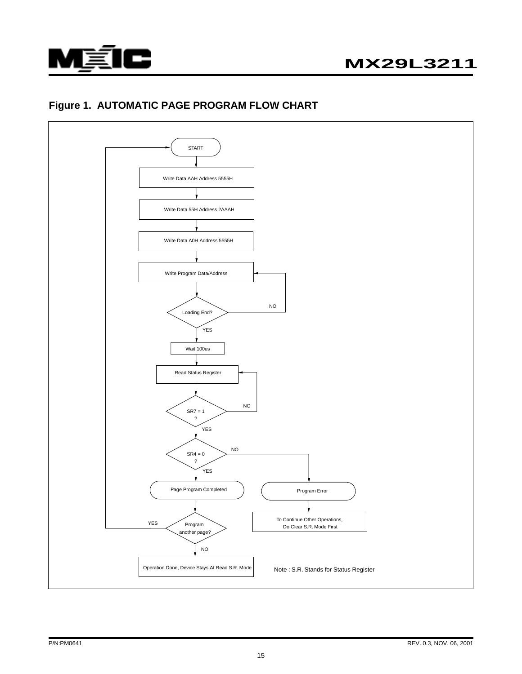

## **Figure 1. AUTOMATIC PAGE PROGRAM FLOW CHART**

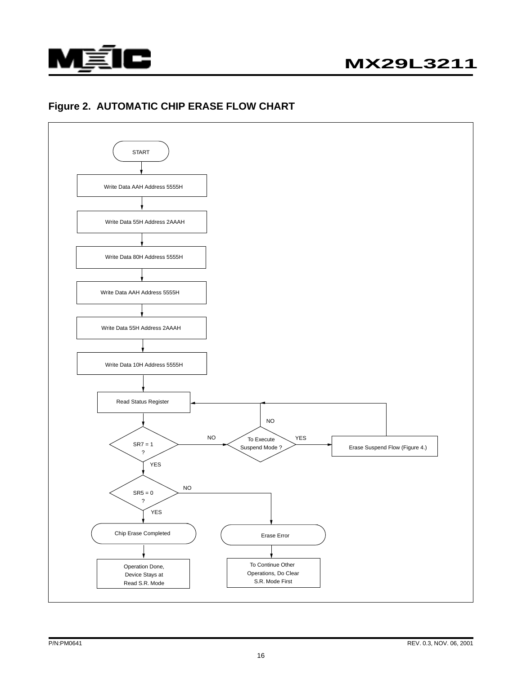

### **Figure 2. AUTOMATIC CHIP ERASE FLOW CHART**

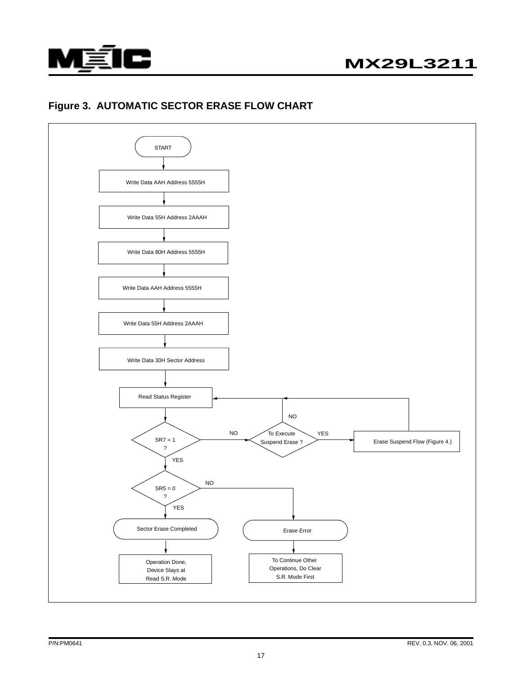

## **Figure 3. AUTOMATIC SECTOR ERASE FLOW CHART**

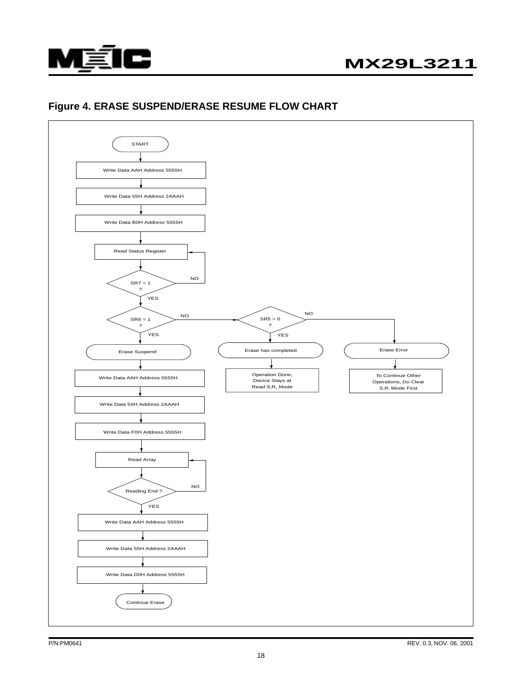

# **MX29L3211**

### **Figure 4. ERASE SUSPEND/ERASE RESUME FLOW CHART**

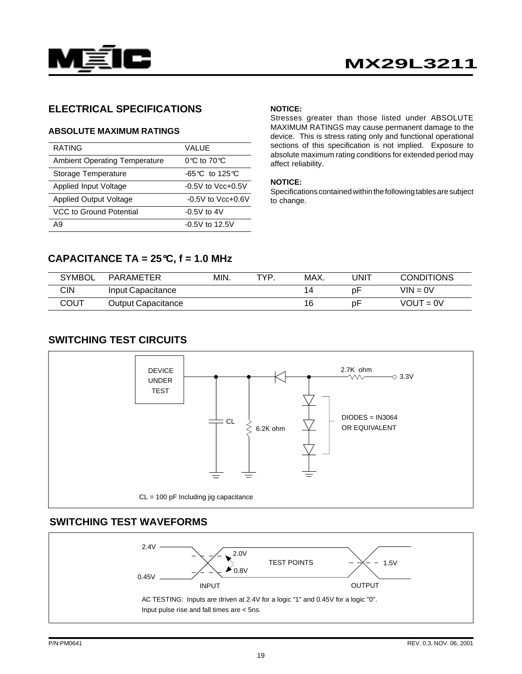

#### **ELECTRICAL SPECIFICATIONS**

#### **ABSOLUTE MAXIMUM RATINGS**

| <b>RATING</b>                        | VALUE                                     |
|--------------------------------------|-------------------------------------------|
| <b>Ambient Operating Temperature</b> | $0^\circ \text{C}$ to $70^\circ \text{C}$ |
| Storage Temperature                  | $-65^{\circ}$ C to 125 $\circ$ C          |
| Applied Input Voltage                | $-0.5V$ to $Vcc+0.5V$                     |
| <b>Applied Output Voltage</b>        | $-0.5V$ to Vcc $+0.6V$                    |
| VCC to Ground Potential              | $-0.5V$ to 4V                             |
| Α9                                   | $-0.5V$ to 12.5V                          |

#### **NOTICE:**

Stresses greater than those listed under ABSOLUTE MAXIMUM RATINGS may cause permanent damage to the device. This is stress rating only and functional operational sections of this specification is not implied. Exposure to absolute maximum rating conditions for extended period may affect reliability.

#### **NOTICE:**

Specifications contained within the following tables are subject to change.

#### **CAPACITANCE TA = 25**°**C, f = 1.0 MHz**

| <b>SYMBOL</b> | PARAMETER                 | MIN. | TVD. | MAX. | JNIT | <b>CONDITIONS</b> |
|---------------|---------------------------|------|------|------|------|-------------------|
| <b>CIN</b>    | Input Capacitance         |      |      | 14   | рF   | $VIN = 0V$        |
| COUT          | <b>Output Capacitance</b> |      |      | 16   | рF   | $VOUT = 0V$       |

#### **SWITCHING TEST CIRCUITS**



## **SWITCHING TEST WAVEFORMS**

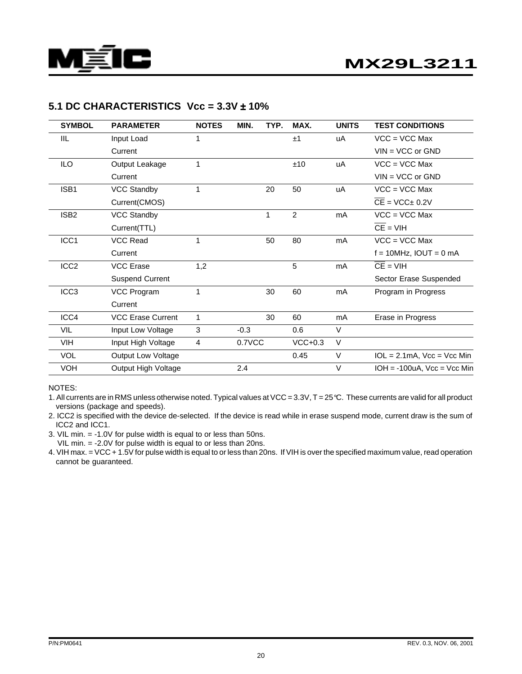

#### **5.1 DC CHARACTERISTICS Vcc = 3.3V** ± **10%**

| <b>SYMBOL</b>    | <b>PARAMETER</b>         | <b>NOTES</b> | MIN.   | TYP. | MAX.           | <b>UNITS</b> | <b>TEST CONDITIONS</b>           |
|------------------|--------------------------|--------------|--------|------|----------------|--------------|----------------------------------|
| <b>IIL</b>       | Input Load               | 1            |        |      | ±1             | uA           | $VCC = VCC Max$                  |
|                  | Current                  |              |        |      |                |              | $VIN = VCC$ or $GND$             |
| ILO              | Output Leakage           | 1            |        |      | ±10            | uA           | $VCC = VCC Max$                  |
|                  | Current                  |              |        |      |                |              | $VIN = VCC$ or $GND$             |
| ISB1             | <b>VCC Standby</b>       | 1            |        | 20   | 50             | uA           | $VCC = VCC Max$                  |
|                  | Current(CMOS)            |              |        |      |                |              | $CE = VCC± 0.2V$                 |
| ISB <sub>2</sub> | <b>VCC Standby</b>       |              |        | 1    | $\overline{2}$ | mA           | $VCC = VCC Max$                  |
|                  | Current(TTL)             |              |        |      |                |              | $CE = VIH$                       |
| ICC1             | <b>VCC Read</b>          | 1            |        | 50   | 80             | mA           | $VCC = VCC Max$                  |
|                  | Current                  |              |        |      |                |              | $f = 10$ MHz, IOUT = 0 mA        |
| ICC <sub>2</sub> | <b>VCC Erase</b>         | 1,2          |        |      | 5              | mA           | $CE = VIH$                       |
|                  | <b>Suspend Current</b>   |              |        |      |                |              | Sector Erase Suspended           |
| ICC <sub>3</sub> | VCC Program              | 1            |        | 30   | 60             | mA           | Program in Progress              |
|                  | Current                  |              |        |      |                |              |                                  |
| ICC4             | <b>VCC Erase Current</b> | 1            |        | 30   | 60             | mA           | Erase in Progress                |
| <b>VIL</b>       | Input Low Voltage        | 3            | $-0.3$ |      | 0.6            | V            |                                  |
| VIH              | Input High Voltage       | 4            | 0.7VCC |      | $VCC+0.3$      | $\vee$       |                                  |
| <b>VOL</b>       | Output Low Voltage       |              |        |      | 0.45           | $\vee$       | $1OL = 2.1mA$ , $Vcc = Vcc$ Min  |
| <b>VOH</b>       | Output High Voltage      |              | 2.4    |      |                | V            | $IOH = -100uA$ , $Vcc = Vcc$ Min |

NOTES:

1. All currents are in RMS unless otherwise noted. Typical values at VCC = 3.3V, T = 25℃. These currents are valid for all product versions (package and speeds).

2. ICC2 is specified with the device de-selected. If the device is read while in erase suspend mode, current draw is the sum of ICC2 and ICC1.

3. VIL min. = -1.0V for pulse width is equal to or less than 50ns.

VIL min. = -2.0V for pulse width is equal to or less than 20ns.

4. VIH max. = VCC + 1.5V for pulse width is equal to or less than 20ns. If VIH is over the specified maximum value, read operation cannot be guaranteed.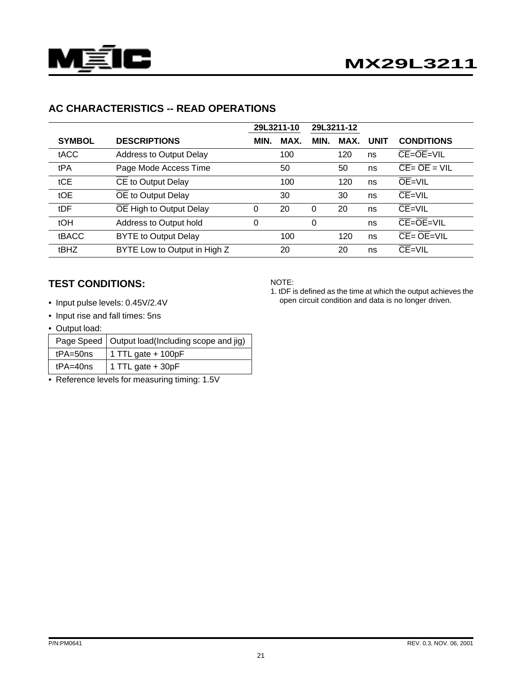

## **AC CHARACTERISTICS -- READ OPERATIONS**

|               |                                | 29L3211-10 |      | 29L3211-12   |      |             |                                                                  |
|---------------|--------------------------------|------------|------|--------------|------|-------------|------------------------------------------------------------------|
| <b>SYMBOL</b> | <b>DESCRIPTIONS</b>            | MIN.       | MAX. | MIN.         | MAX. | <b>UNIT</b> | <b>CONDITIONS</b>                                                |
| tACC          | <b>Address to Output Delay</b> |            | 100  |              | 120  | ns          | $CE = OE = VIL$                                                  |
| tPA           | Page Mode Access Time          |            | 50   |              | 50   | ns          | $\overline{CE} = \overline{OE} = \overline{VIL}$                 |
| tCE           | CE to Output Delay             |            | 100  |              | 120  | ns          | $OE=VIL$                                                         |
| tOE           | OE to Output Delay             |            | 30   |              | 30   | ns          | $CE=VIL$                                                         |
| tDF           | OE High to Output Delay        | 0          | 20   | $\mathbf{0}$ | 20   | ns          | $CE=VIL$                                                         |
| tOH           | Address to Output hold         | 0          |      | $\Omega$     |      | ns          | $CE = OE = VIL$                                                  |
| <b>tBACC</b>  | <b>BYTE to Output Delay</b>    |            | 100  |              | 120  | ns          | $\overline{\mathsf{CE}} = \overline{\mathsf{OE}} = \mathsf{VIL}$ |
| tBHZ          | BYTE Low to Output in High Z   |            | 20   |              | 20   | ns          | $CE=VIL$                                                         |

### **TEST CONDITIONS:**

- Input pulse levels: 0.45V/2.4V
- Input rise and fall times: 5ns
- Output load:

|              | Page Speed   Output load(Including scope and jig) |  |  |  |
|--------------|---------------------------------------------------|--|--|--|
| $tPA = 50ns$ | $\vert$ 1 TTL gate + 100pF                        |  |  |  |
| $tPA = 40ns$ | 1 TTL gate $+30pF$                                |  |  |  |

• Reference levels for measuring timing: 1.5V

#### NOTE:

1. tDF is defined as the time at which the output achieves the open circuit condition and data is no longer driven.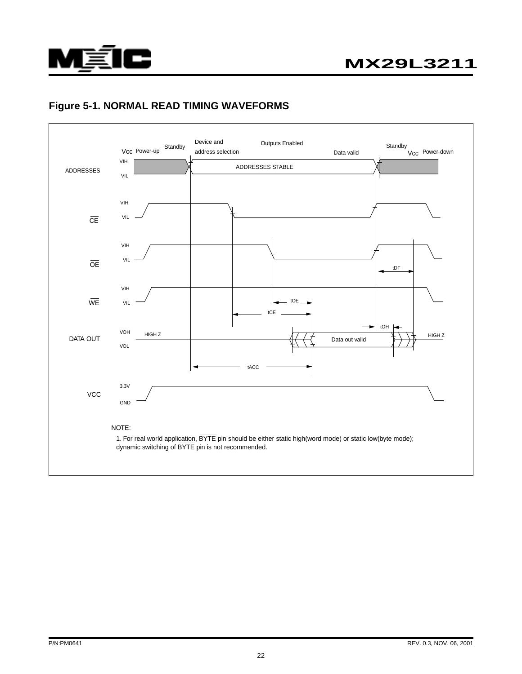

### **Figure 5-1. NORMAL READ TIMING WAVEFORMS**

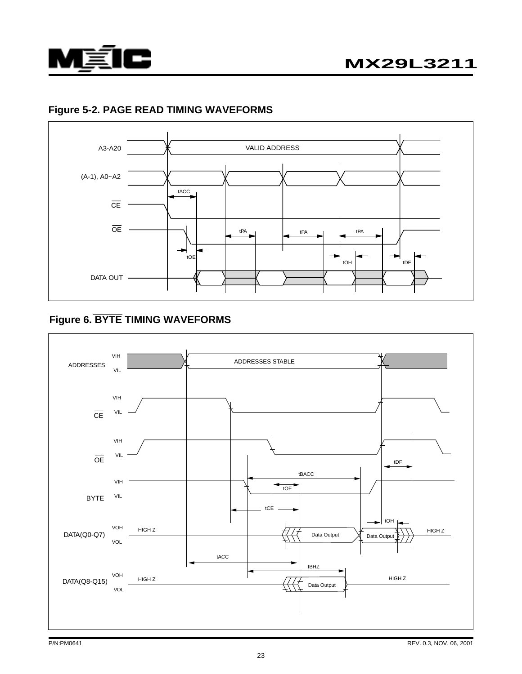

## **Figure 5-2. PAGE READ TIMING WAVEFORMS**



## **Figure 6. BYTE TIMING WAVEFORMS**

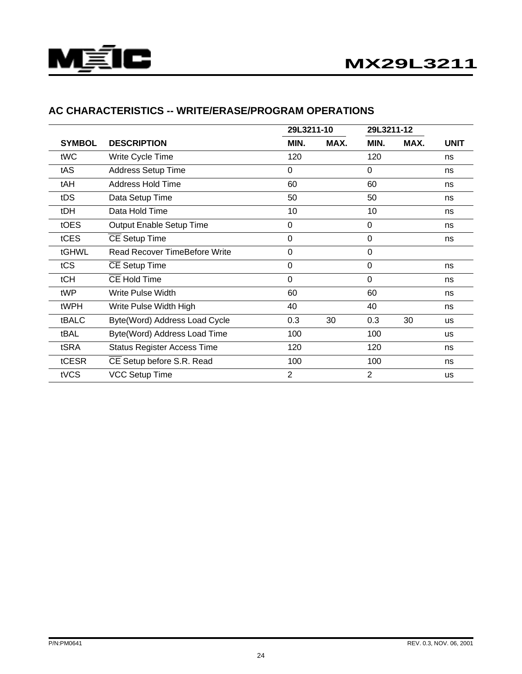

|               |                                      | 29L3211-10     |      | 29L3211-12  |      |             |  |
|---------------|--------------------------------------|----------------|------|-------------|------|-------------|--|
| <b>SYMBOL</b> | <b>DESCRIPTION</b>                   | MIN.           | MAX. | MIN.        | MAX. | <b>UNIT</b> |  |
| tWC           | Write Cycle Time                     | 120            |      | 120         |      | ns          |  |
| tAS           | <b>Address Setup Time</b>            | 0              |      | 0           |      | ns          |  |
| tAH           | <b>Address Hold Time</b>             | 60             |      | 60          |      | ns          |  |
| tDS           | Data Setup Time                      | 50             |      | 50          |      | ns          |  |
| tDH           | Data Hold Time                       | 10             |      | 10          |      | ns          |  |
| tOES          | Output Enable Setup Time             | 0              |      | 0           |      | ns          |  |
| tCES          | <b>CE Setup Time</b>                 | 0              |      | 0           |      | ns          |  |
| tGHWL         | <b>Read Recover TimeBefore Write</b> | $\mathbf 0$    |      | $\mathbf 0$ |      |             |  |
| tCS           | <b>CE Setup Time</b>                 | 0              |      | $\mathbf 0$ |      | ns          |  |
| tCH           | <b>CE Hold Time</b>                  | 0              |      | 0           |      | ns          |  |
| tWP           | Write Pulse Width                    | 60             |      | 60          |      | ns          |  |
| tWPH          | Write Pulse Width High               | 40             |      | 40          |      | ns          |  |
| tBALC         | Byte(Word) Address Load Cycle        | 0.3            | 30   | 0.3         | 30   | us          |  |
| tBAL          | Byte(Word) Address Load Time         | 100            |      | 100         |      | us          |  |
| tSRA          | <b>Status Register Access Time</b>   | 120            |      | 120         |      | ns          |  |
| tCESR         | CE Setup before S.R. Read            | 100            |      | 100         |      | ns          |  |
| tVCS          | <b>VCC Setup Time</b>                | $\overline{2}$ |      | 2           |      | us          |  |

## **AC CHARACTERISTICS -- WRITE/ERASE/PROGRAM OPERATIONS**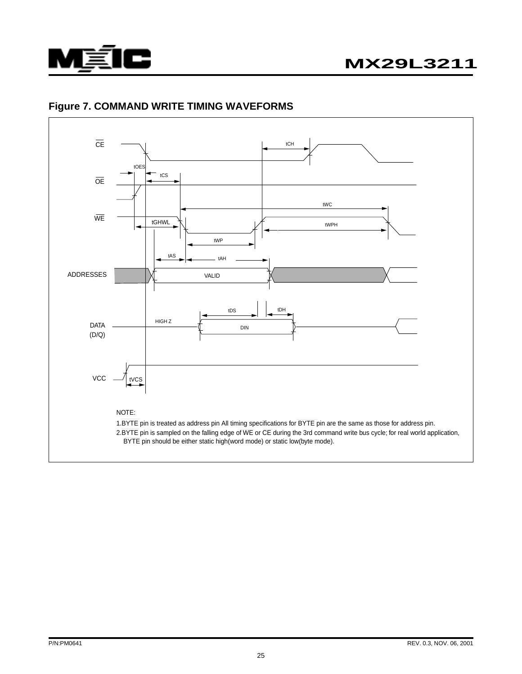

# **MX29L3211**



### **Figure 7. COMMAND WRITE TIMING WAVEFORMS**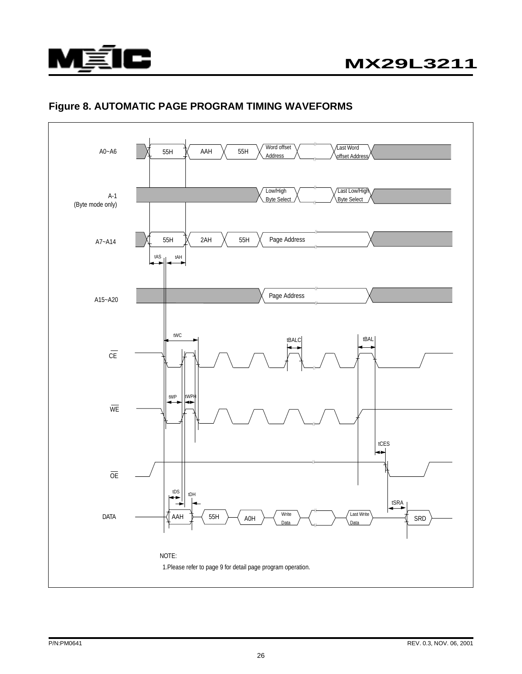

### **Figure 8. AUTOMATIC PAGE PROGRAM TIMING WAVEFORMS**

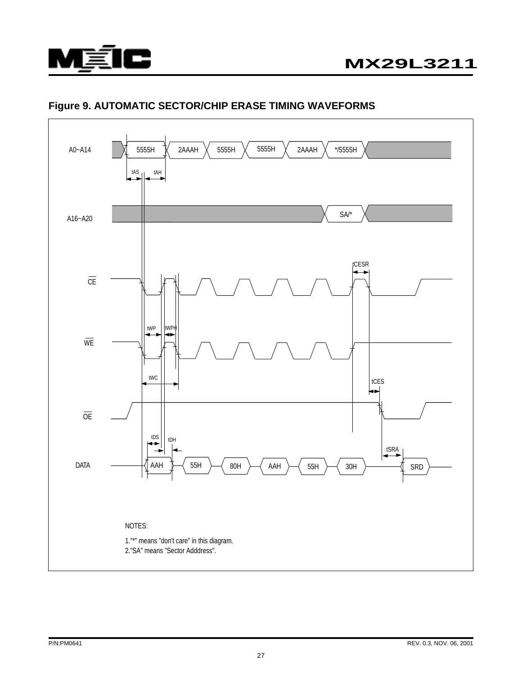

## **Figure 9. AUTOMATIC SECTOR/CHIP ERASE TIMING WAVEFORMS**

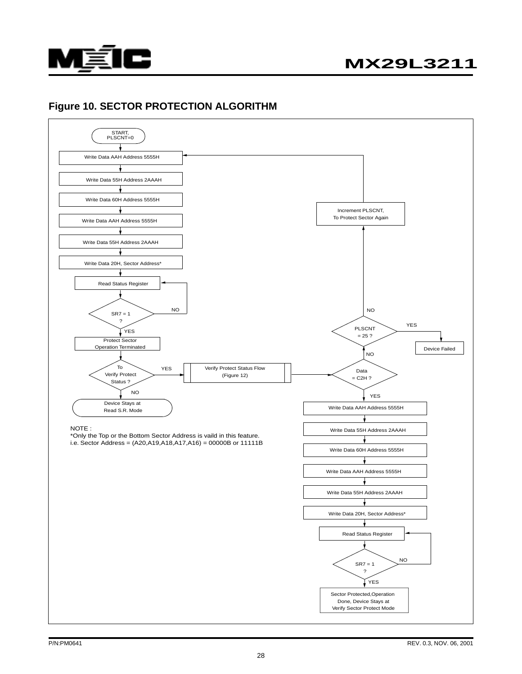

# **MX29L3211**

#### **Figure 10. SECTOR PROTECTION ALGORITHM**

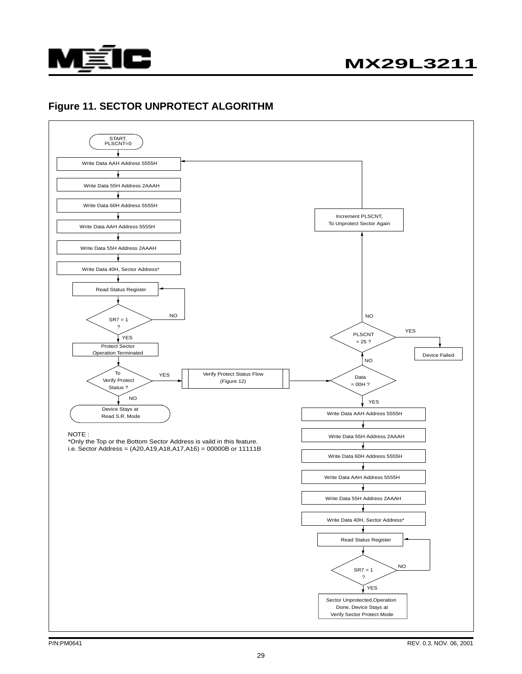

#### **Figure 11. SECTOR UNPROTECT ALGORITHM**

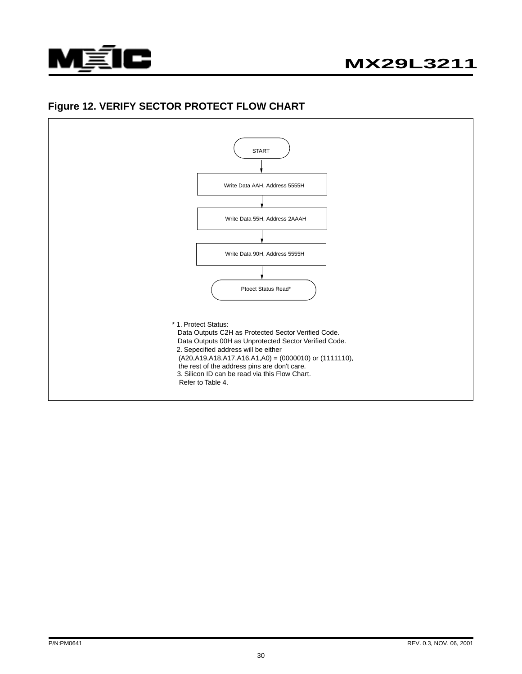

#### **Figure 12. VERIFY SECTOR PROTECT FLOW CHART**

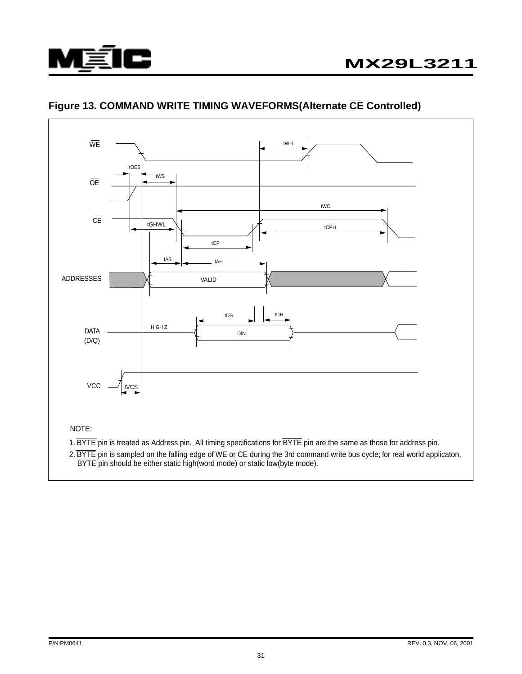



## **Figure 13. COMMAND WRITE TIMING WAVEFORMS(Alternate CE Controlled)**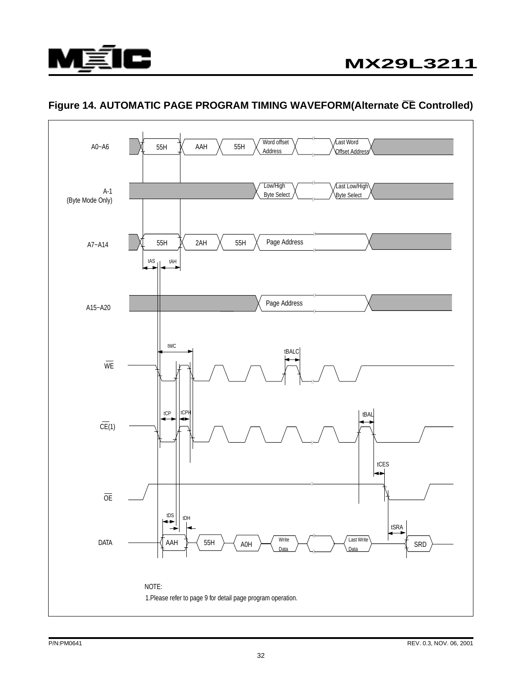

## **Figure 14. AUTOMATIC PAGE PROGRAM TIMING WAVEFORM(Alternate CE Controlled)**

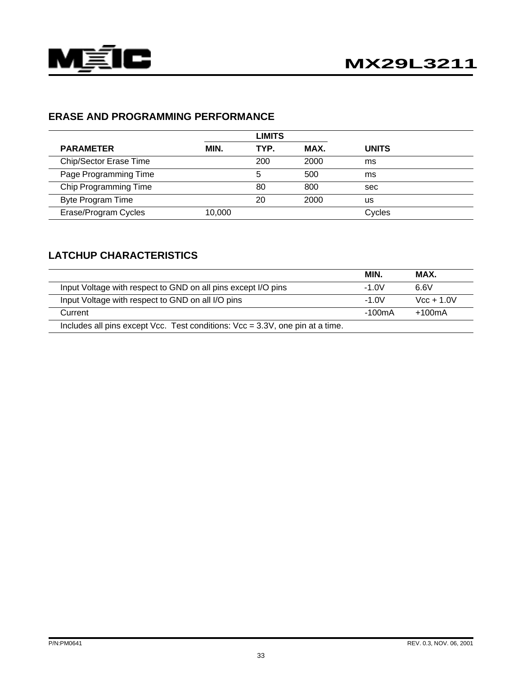

## **ERASE AND PROGRAMMING PERFORMANCE**

|                        |        | <b>LIMITS</b> |      |              |  |
|------------------------|--------|---------------|------|--------------|--|
| <b>PARAMETER</b>       | MIN.   | TYP.          | MAX. | <b>UNITS</b> |  |
| Chip/Sector Erase Time |        | 200           | 2000 | ms           |  |
| Page Programming Time  |        | 5             | 500  | ms           |  |
| Chip Programming Time  |        | 80            | 800  | sec          |  |
| Byte Program Time      |        | 20            | 2000 | us           |  |
| Erase/Program Cycles   | 10.000 |               |      | Cycles       |  |

## **LATCHUP CHARACTERISTICS**

|                                                                               | MIN.    | MAX.             |
|-------------------------------------------------------------------------------|---------|------------------|
| Input Voltage with respect to GND on all pins except I/O pins                 | $-1.0V$ | 6.6V             |
| Input Voltage with respect to GND on all I/O pins                             | $-1.0V$ | $Vcc + 1.0V$     |
| Current                                                                       | -100mA  | $+100 \text{mA}$ |
| Includes all pins except Vcc. Test conditions: Vcc = 3.3V, one pin at a time. |         |                  |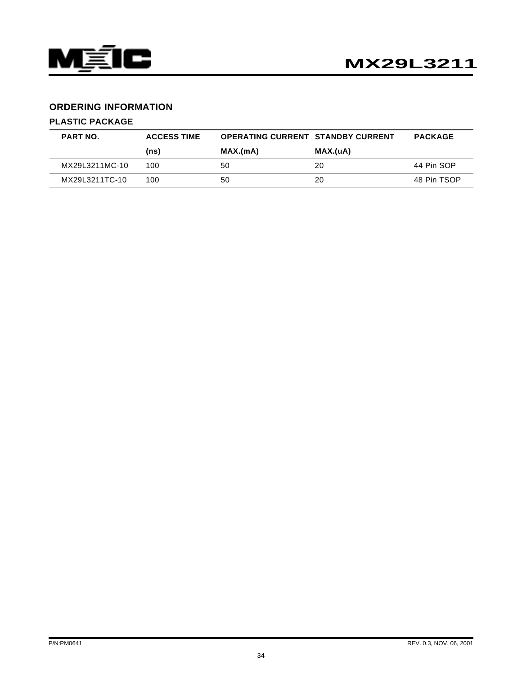

#### **ORDERING INFORMATION**

#### **PLASTIC PACKAGE**

| <b>PART NO.</b> | <b>ACCESS TIME</b> | <b>OPERATING CURRENT STANDBY CURRENT</b> |          | <b>PACKAGE</b> |
|-----------------|--------------------|------------------------------------------|----------|----------------|
|                 | (ns)               | MAX.(mA)                                 | MAX.(uA) |                |
| MX29L3211MC-10  | 100                | 50                                       | 20       | 44 Pin SOP     |
| MX29L3211TC-10  | 100                | 50                                       | 20       | 48 Pin TSOP    |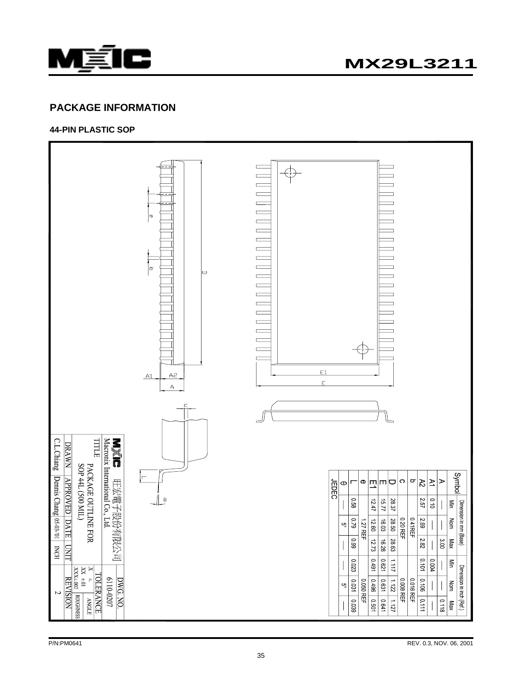

#### **PACKAGE INFORMATION**

**44-PIN PLASTIC SOP**

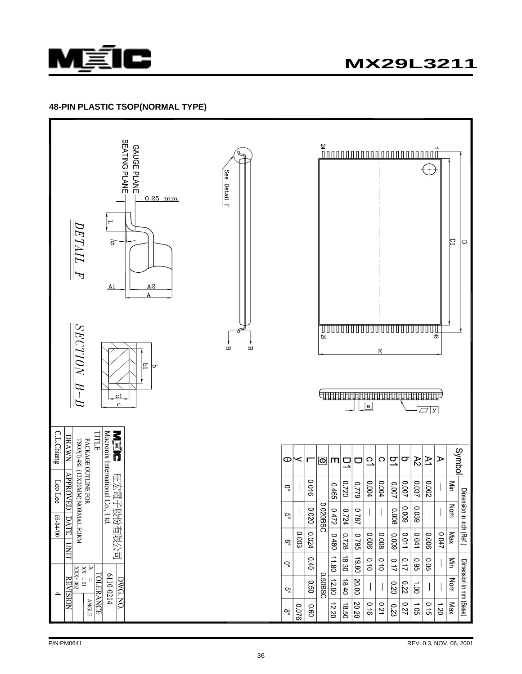

#### **48-PIN PLASTIC TSOP(NORMAL TYPE)**

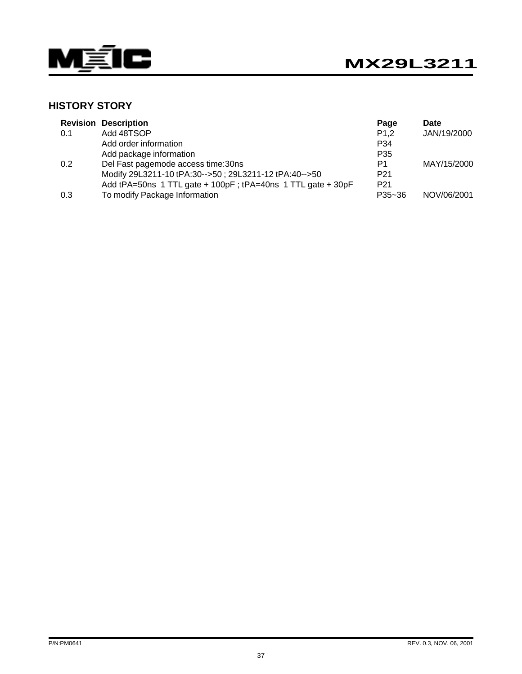

## **HISTORY STORY**

|     | <b>Revision Description</b>                                 | Page                | Date        |
|-----|-------------------------------------------------------------|---------------------|-------------|
| 0.1 | Add 48TSOP                                                  | P <sub>1</sub> ,2   | JAN/19/2000 |
|     | Add order information                                       | P34                 |             |
|     | Add package information                                     | P <sub>35</sub>     |             |
| 0.2 | Del Fast pagemode access time:30ns                          | P <sub>1</sub>      | MAY/15/2000 |
|     | Modify 29L3211-10 tPA:30-->50; 29L3211-12 tPA:40-->50       | P <sub>21</sub>     |             |
|     | Add tPA=50ns 1 TTL gate + 100pF; tPA=40ns 1 TTL gate + 30pF | P <sub>21</sub>     |             |
| 0.3 | To modify Package Information                               | P <sub>35</sub> ~36 | NOV/06/2001 |